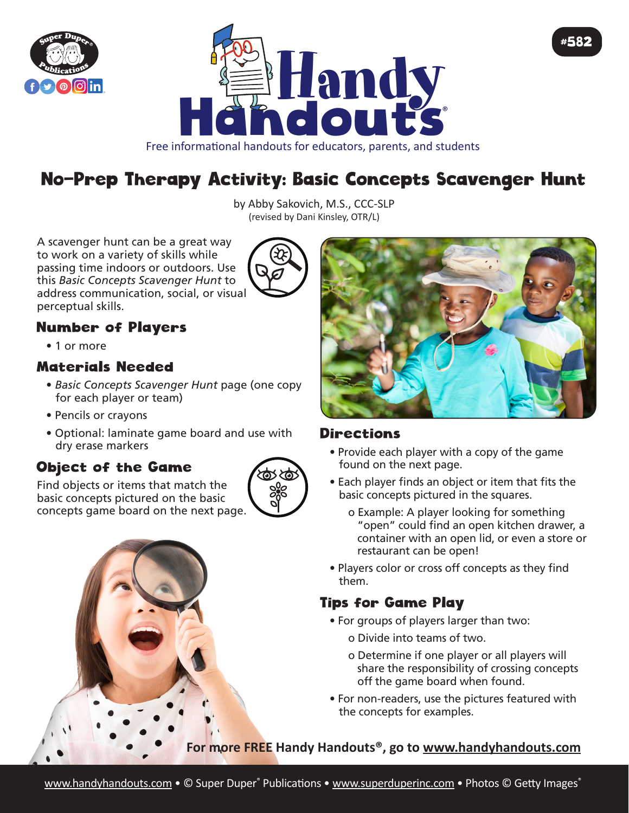



## Free informational handouts for educators, parents, and students

# No-Prep Therapy Activity: Basic Concepts Scavenger Hunt

by Abby Sakovich, M.S., CCC-SLP (revised by Dani Kinsley, OTR/L)

A scavenger hunt can be a great way to work on a variety of skills while passing time indoors or outdoors. Use this *Basic Concepts Scavenger Hunt* to address communication, social, or visual perceptual skills.



### Number of Players

• 1 or more

#### Materials Needed

- *Basic Concepts Scavenger Hunt* page (one copy for each player or team)
- Pencils or crayons
- Optional: laminate game board and use with dry erase markers

#### Object of the Game

Find objects or items that match the basic concepts pictured on the basic concepts game board on the next page.







#582

#### **Directions**

- Provide each player with a copy of the game found on the next page.
- Each player finds an object or item that fits the basic concepts pictured in the squares.
	- o Example: A player looking for something "open" could find an open kitchen drawer, a container with an open lid, or even a store or restaurant can be open!
- Players color or cross off concepts as they find them.

#### Tips for Game Play

- For groups of players larger than two:
	- o Divide into teams of two.
	- o Determine if one player or all players will share the responsibility of crossing concepts off the game board when found.
- For non-readers, use the pictures featured with the concepts for examples.

**For more FREE Handy Handouts®, go to www.handyhandouts.com**